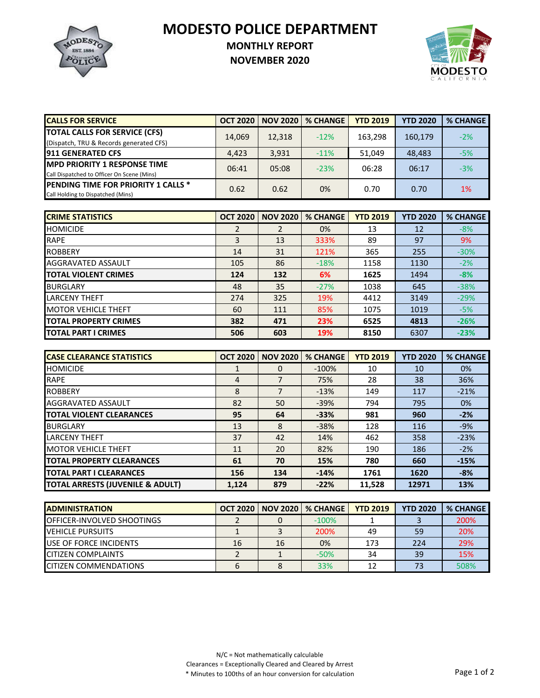MODESTO **EST. 1884** POLICE

## **MODESTO POLICE DEPARTMENT**

## **MONTHLY REPORT**



**NOVEMBER 2020**

| <b>CALLS FOR SERVICE</b>                                                          | <b>OCT 2020</b> | <b>NOV 2020</b> | <b>% CHANGE</b> | <b>YTD 2019</b> | <b>YTD 2020</b> | <b>% CHANGE</b> |
|-----------------------------------------------------------------------------------|-----------------|-----------------|-----------------|-----------------|-----------------|-----------------|
| <b>TOTAL CALLS FOR SERVICE (CFS)</b><br>(Dispatch, TRU & Records generated CFS)   | 14.069          | 12,318          | $-12%$          | 163.298         | 160,179         | $-2%$           |
| <b>911 GENERATED CFS</b>                                                          | 4,423           | 3,931           | $-11%$          | 51,049          | 48,483          | $-5%$           |
| <b>MPD PRIORITY 1 RESPONSE TIME</b><br>Call Dispatched to Officer On Scene (Mins) | 06:41           | 05:08           | $-23%$          | 06:28           | 06:17           | $-3%$           |
| PENDING TIME FOR PRIORITY 1 CALLS *<br>Call Holding to Dispatched (Mins)          | 0.62            | 0.62            | 0%              | 0.70            | 0.70            | 1%              |

| <b>CRIME STATISTICS</b>      | <b>OCT 2020</b> | <b>NOV 2020</b> | <b>% CHANGE</b> | <b>YTD 2019</b> | <b>YTD 2020</b> | <b>% CHANGE</b> |
|------------------------------|-----------------|-----------------|-----------------|-----------------|-----------------|-----------------|
| <b>HOMICIDE</b>              | $\overline{2}$  |                 | 0%              | 13              | 12              | $-8%$           |
| <b>RAPE</b>                  | 3               | 13              | 333%            | 89              | 97              | 9%              |
| <b>ROBBERY</b>               | 14              | 31              | 121%            | 365             | 255             | $-30%$          |
| AGGRAVATED ASSAULT           | 105             | 86              | $-18%$          | 1158            | 1130            | $-2%$           |
| <b>TOTAL VIOLENT CRIMES</b>  | 124             | 132             | 6%              | 1625            | 1494            | $-8%$           |
| <b>BURGLARY</b>              | 48              | 35              | $-27%$          | 1038            | 645             | $-38%$          |
| <b>LARCENY THEFT</b>         | 274             | 325             | 19%             | 4412            | 3149            | $-29%$          |
| <b>IMOTOR VEHICLE THEFT</b>  | 60              | 111             | 85%             | 1075            | 1019            | $-5%$           |
| <b>TOTAL PROPERTY CRIMES</b> | 382             | 471             | 23%             | 6525            | 4813            | $-26%$          |
| <b>TOTAL PART I CRIMES</b>   | 506             | 603             | 19%             | 8150            | 6307            | $-23%$          |

| <b>CASE CLEARANCE STATISTICS</b>            | <b>OCT 2020</b> | <b>NOV 2020</b> | <b>% CHANGE</b> | <b>YTD 2019</b> | <b>YTD 2020</b> | <b>% CHANGE</b> |
|---------------------------------------------|-----------------|-----------------|-----------------|-----------------|-----------------|-----------------|
| <b>HOMICIDE</b>                             |                 | 0               | $-100%$         | 10              | 10              | 0%              |
| <b>RAPE</b>                                 | 4               |                 | 75%             | 28              | 38              | 36%             |
| <b>ROBBERY</b>                              | 8               |                 | $-13%$          | 149             | 117             | $-21%$          |
| AGGRAVATED ASSAULT                          | 82              | 50              | $-39%$          | 794             | 795             | 0%              |
| <b>TOTAL VIOLENT CLEARANCES</b>             | 95              | 64              | $-33%$          | 981             | 960             | $-2%$           |
| <b>BURGLARY</b>                             | 13              | 8               | $-38%$          | 128             | 116             | $-9%$           |
| <b>LARCENY THEFT</b>                        | 37              | 42              | 14%             | 462             | 358             | $-23%$          |
| <b>MOTOR VEHICLE THEFT</b>                  | 11              | 20              | 82%             | 190             | 186             | $-2%$           |
| <b>TOTAL PROPERTY CLEARANCES</b>            | 61              | 70              | 15%             | 780             | 660             | $-15%$          |
| <b>TOTAL PART I CLEARANCES</b>              | 156             | 134             | $-14%$          | 1761            | 1620            | $-8%$           |
| <b>TOTAL ARRESTS (JUVENILE &amp; ADULT)</b> | 1.124           | 879             | $-22%$          | 11.528          | 12971           | 13%             |

| <b>ADMINISTRATION</b>              | <b>OCT 2020  </b> | <b>NOV 20201</b> | <b>% CHANGE</b> | <b>YTD 2019</b> | <b>YTD 2020</b> | % CHANGE |
|------------------------------------|-------------------|------------------|-----------------|-----------------|-----------------|----------|
| <b>IOFFICER-INVOLVED SHOOTINGS</b> |                   |                  | $-100\%$        |                 |                 | 200%     |
| <b>IVEHICLE PURSUITS</b>           |                   |                  | 200%            | 49              | 59              | 20%      |
| <b>IUSE OF FORCE INCIDENTS</b>     | 16                | 16               | 0%              | 173             | 224             | 29%      |
| <b>CITIZEN COMPLAINTS</b>          |                   |                  | $-50%$          | 34              | 39              | 15%      |
| <b>ICITIZEN COMMENDATIONS</b>      | h                 |                  | 33%             |                 |                 | 508%     |